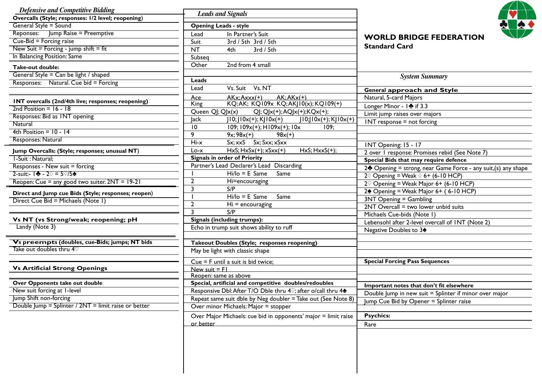| Overcalls (Style; responses: 1/2 level; reopening)   | <b>Leads and Signals</b>                                                                                    |                                                                                              |
|------------------------------------------------------|-------------------------------------------------------------------------------------------------------------|----------------------------------------------------------------------------------------------|
| General Style = Sound                                | <b>Opening Leads - style</b>                                                                                |                                                                                              |
| Reponses: Jump Raise = Preemptive                    | In Partner's Suit<br>Lead                                                                                   | <b>WORLD BRIDGE FEDERATION</b>                                                               |
| Cue-Bid = Forcing raise                              | 3rd / 5th 3rd / 5th<br>Suit                                                                                 |                                                                                              |
| New Suit = Forcing - jump shift = fit                | <b>NT</b><br>3rd / 5th<br>4th                                                                               | <b>Standard Card</b>                                                                         |
| In Balancing Position: Same                          | Subseq                                                                                                      |                                                                                              |
| Take-out double:                                     | 2nd from 4 small<br>Other                                                                                   |                                                                                              |
| General Style = Can be light / shaped                |                                                                                                             | <b>System Summary</b>                                                                        |
| Responses: Natural. Cue bid = Forcing                | Leads                                                                                                       |                                                                                              |
|                                                      | Vs. Suit Vs. NT<br>Lead                                                                                     | <b>General approach and Style</b>                                                            |
| INT overcalls (2nd/4th live; responses; reopening)   | $AK:AKx(+)$<br>$AKx:Axxx(+)$<br>Ace                                                                         | Natural, 5-card Majors                                                                       |
| $2nd Position = 16 - 18$                             | KQ;AK; KQ109x KQ;AKJ10(x);KQ109(+)<br><b>King</b>                                                           | Longer Minor - I de if 3.3                                                                   |
| Responses: Bid as INT opening                        | Queen QJ; QJx(x)<br>$Q$ j; QJx(+); AQJx(+); KQx(+);                                                         | Limit jump raises over majors                                                                |
| Natural                                              | $ 10; 10x(+);K 10x(+) $<br><b>Jack</b><br>$J10;J10x(+);KJ10x(+)$                                            | INT response = not forcing                                                                   |
| 4th Position = $10 - 14$                             | 10<br>$109; 109x(+)$ ; $H109x(+)$ ; $10x$<br>109;                                                           |                                                                                              |
| Responses: Natural                                   | 9<br>$98x(+)$<br>$9x; 98x(+)$                                                                               |                                                                                              |
|                                                      | $Hi-x$<br>$Sx; xxS$ $Sx; Sxx; xSxx$                                                                         | INT Opening: 15 - 17                                                                         |
| Jump Overcalls: (Style; responses; unusual NT)       | $HxS; HxSx(+); xSxx(+)$<br>$HxS; HxxS(+);$<br>Lo-x                                                          | 2 over 1 response: Promises rebid (See Note 7)                                               |
| I-Suit: Natural:                                     | <b>Signals in order of Priority</b>                                                                         | Special Bids that may require defence                                                        |
| Responses - New suit = forcing                       | Partner's Lead Declarer's Lead Discarding                                                                   | 2 <sup><math>\bullet</math></sup> Opening = strong, near Game Force - any suit,(s) any shape |
| 2-suit:- $\frac{1}{2}$ - 2 $\Diamond$ = 5 $\sqrt{5}$ | $Hi/Io = E$ Same<br>Same                                                                                    | 2 $\diamond$ Opening = Weak $\diamond$ 6+ (6-10 HCP)                                         |
| Reopen: Cue = any good two suiter. 2NT = 19-21       | $\overline{2}$<br>Hi=encouraging                                                                            | $2\%$ Opening = Weak Major 6+ (6-10 HCP)                                                     |
| Direct and Jump cue Bids (Style; responses; reopen)  | S/P<br>$\overline{3}$                                                                                       | 24 Opening = Weak Major 6+ (6-10 HCP)                                                        |
| Direct Cue Bid = Michaels (Note 1)                   | $Hi/Io = E Same$<br>Same                                                                                    | 3NT Opening = Gambling                                                                       |
|                                                      | $\overline{2}$<br>$Hi = encouraging$                                                                        | $2NT$ Overcall = two lower unbid suits                                                       |
|                                                      | S/P<br>्र                                                                                                   | Michaels Cue-bids (Note 1)                                                                   |
| Vs NT (vs Strong/weak; reopening; pH                 | Signals (including trumps):                                                                                 | Lebensohl after 2-level overcall of INT (Note 2)                                             |
| Landy (Note 3)                                       | Echo in trump suit shows ability to ruff                                                                    | Negative Doubles to 3 <sup>4</sup>                                                           |
| Vs preempts (doubles, cue-Bids; jumps; NT bids       | Takeout Doubles (Style; responses reopening)                                                                |                                                                                              |
| Take out doubles thru 4 $\heartsuit$                 | May be light with classic shape                                                                             |                                                                                              |
|                                                      |                                                                                                             |                                                                                              |
|                                                      | Cue = F until a suit is bid twice;                                                                          | <b>Special Forcing Pass Sequences</b>                                                        |
| <b>Vs Artificial Strong Openings</b>                 | New suit $=$ F1                                                                                             |                                                                                              |
| Over Opponents take out double                       | Reopen: same as above<br>Special, artificial and competitive doubles/redoubles                              |                                                                                              |
| New suit forcing at I-level                          | Responsive Dbl: After T/O Dble thru 4 <sup><math>\heartsuit</math></sup> ; after o/call thru 4 <sup>*</sup> | Important notes that don't fit elsewhere                                                     |
| Jump Shift non-forcing                               | Repeat same suit dble by Neg doubler = Take out (See Note 8)                                                | Double Jump in new suit = Splinter if minor over major                                       |
| Double Jump = Splinter / 2NT = limit raise or better | Over minor Michaels: Major = stopper                                                                        | Jump Cue Bid by Opener = Splinter raise                                                      |
|                                                      |                                                                                                             |                                                                                              |
|                                                      | Over Major Michaels: cue bid in opponents' major = limit raise                                              | <b>Psychics:</b>                                                                             |
|                                                      | or better                                                                                                   | Rare                                                                                         |
|                                                      |                                                                                                             |                                                                                              |
|                                                      |                                                                                                             |                                                                                              |
|                                                      |                                                                                                             |                                                                                              |
|                                                      |                                                                                                             |                                                                                              |
|                                                      |                                                                                                             |                                                                                              |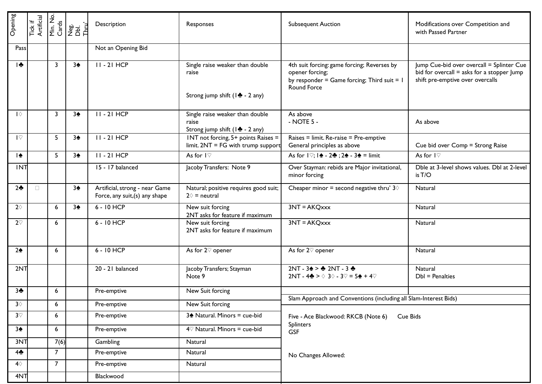| Opening                   | Tick if<br>Artificial |                         | Min. No.<br>Cards<br>Dbl.<br>Dbl.<br>Thru` | Description                                                      | Responses                                                                              | <b>Subsequent Auction</b>                                                                                                          | Modifications over Competition and<br>with Passed Partner                                                                   |
|---------------------------|-----------------------|-------------------------|--------------------------------------------|------------------------------------------------------------------|----------------------------------------------------------------------------------------|------------------------------------------------------------------------------------------------------------------------------------|-----------------------------------------------------------------------------------------------------------------------------|
| Pass                      |                       |                         |                                            | Not an Opening Bid                                               |                                                                                        |                                                                                                                                    |                                                                                                                             |
| $\frac{1}{2}$             |                       | 3                       | 3 <sub>2</sub>                             | $II - 2I HCP$                                                    | Single raise weaker than double<br>raise<br>Strong jump shift ( $\frac{1}{2}$ - 2 any) | 4th suit forcing: game forcing; Reverses by<br>opener forcing;<br>by responder = Game forcing; Third suit = $\vert$<br>Round Force | Jump Cue-bid over overcall = Splinter Cue<br>bid for overcall = asks for a stopper Jump<br>shift pre-emptive over overcalls |
| $\mathsf{I}\Diamond$      |                       | $\overline{\mathbf{3}}$ | 3 <sub>2</sub>                             | $II - 2I HCP$                                                    | Single raise weaker than double<br>raise<br>Strong jump shift ( $\frac{4}{3}$ - 2 any) | As above<br>- NOTE 5 -                                                                                                             | As above                                                                                                                    |
| $\mathsf{I}\heartsuit$    |                       | 5                       | 3 <sub>2</sub>                             | $II - 2I HCP$                                                    | INT not forcing, 5+ points Raises =<br>$limit. 2NT = FG with trump support$            | Raises = limit. Re-raise = Pre-emptive<br>General principles as above                                                              | Cue bid over Comp = Strong Raise                                                                                            |
| 十全                        |                       | 5                       | 3 <sub>2</sub>                             | $II - 2I HCP$                                                    | As for $I\heartsuit$                                                                   | As for $\sqrt{$ ; $\ket{\triangle}$ - 2 $\triangle$ ; 2 $\triangle$ - 3 $\triangle$ = limit                                        | As for $I\heartsuit$                                                                                                        |
| <b>INT</b>                |                       |                         |                                            | $\overline{15}$ - 17 balanced                                    | Jacoby Transfers: Note 9                                                               | Over Stayman: rebids are Major invitational,<br>minor forcing                                                                      | Dble at 3-level shows values. Dbl at 2-level<br>is T/O                                                                      |
| 2 <sub>2</sub>            | $\Box$                |                         | 3 <sub>2</sub>                             | Artificial, strong - near Game<br>Force, any suit, (s) any shape | Natural; positive requires good suit;<br>$2\diamond$ = neutral                         | Cheaper minor = second negative thru' $3\diamond$                                                                                  | Natural                                                                                                                     |
| $2\diamond$               |                       | 6                       | 3 <sub>2</sub>                             | 6 - 10 HCP                                                       | New suit forcing<br>2NT asks for feature if maximum                                    | $3NT = AKQxxx$                                                                                                                     | Natural                                                                                                                     |
| $2^\heartsuit$            |                       | 6                       |                                            | 6 - 10 HCP                                                       | New suit forcing<br>2NT asks for feature if maximum                                    | $3NT = AKQxxx$                                                                                                                     | Natural                                                                                                                     |
| 2 <sub>2</sub>            |                       | 6                       |                                            | 6 - 10 HCP                                                       | As for $2\%$ opener                                                                    | As for $2\%$ opener                                                                                                                | Natural                                                                                                                     |
| 2NT                       |                       |                         |                                            | 20 - 21 balanced                                                 | Jacoby Transfers; Stayman<br>Note 9                                                    | $2NT - 32 \geq 2NT - 32$<br>2NT - 4 $\clubsuit$ > $\diamond$ 3 $\diamond$ - 3 $\heartsuit$ = 5 $\spadesuit$ + 4 $\heartsuit$       | Natural<br>$Dbl = Penalties$                                                                                                |
| 3 <sub>2</sub>            |                       | 6                       |                                            | Pre-emptive                                                      | New Suit forcing                                                                       |                                                                                                                                    |                                                                                                                             |
| $3\diamond$               |                       | 6                       |                                            | Pre-emptive                                                      | New Suit forcing                                                                       | Slam Approach and Conventions (including all Slam-Interest Bids)                                                                   |                                                                                                                             |
| $3^\circledcirc$          |                       | $6\overline{6}$         |                                            | Pre-emptive                                                      | 3 <sup>+</sup> Natural. Minors = cue-bid                                               | Five - Ace Blackwood: RKCB (Note 6)<br>Cue Bids                                                                                    |                                                                                                                             |
| 3 <sub>2</sub>            |                       | $6\overline{6}$         |                                            | Pre-emptive                                                      | $4\%$ Natural. Minors = cue-bid                                                        | Splinters<br>GSF                                                                                                                   |                                                                                                                             |
| 3NT                       |                       | 7(6)                    |                                            | Gambling                                                         | Natural                                                                                |                                                                                                                                    |                                                                                                                             |
| 4÷                        |                       | $\overline{7}$          |                                            | Pre-emptive                                                      | Natural                                                                                | No Changes Allowed:                                                                                                                |                                                                                                                             |
| $\textbf{4} \diamondsuit$ |                       | $7\overline{ }$         |                                            | Pre-emptive                                                      | Natural                                                                                |                                                                                                                                    |                                                                                                                             |
| 4NT                       |                       |                         |                                            | Blackwood                                                        |                                                                                        |                                                                                                                                    |                                                                                                                             |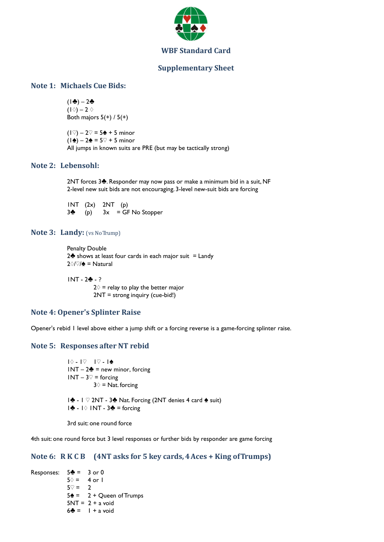

### **Supplementary Sheet**

## **Note 1: Michaels Cue Bids:**

 $(1) - 2$  $(1\Diamond) - 2 \Diamond$ Both majors  $5(+)$  /  $5(+)$ 

 $(1\degree) - 2\degree = 5$  $\spadesuit$  + 5 minor  $(1\triangle) - 2\triangle = 5\degree + 5$  minor All jumps in known suits are PRE (but may be tactically strong)

## **Note 2: Lebensohl:**

2NT forces 3<sup>4</sup>. Responder may now pass or make a minimum bid in a suit, NF 2-level new suit bids are not encouraging. 3-level new-suit bids are forcing

1NT (2x) 2NT (p)  $3\clubsuit$  (p)  $3x = GF$  No Stopper

#### **Note 3: Landy:** (vs No Trump)

 Penalty Double 2 $\triangle$  shows at least four cards in each major suit = Landy  $2\sqrt{}/\approx$  = Natural

 $INT - 2 + - ?$ 

 $2$  = relay to play the better major 2NT = strong inquiry (cue-bid!)

## **Note 4: Opener's Splinter Raise**

Opener's rebid 1 level above either a jump shift or a forcing reverse is a game-forcing splinter raise.

## **Note 5: Responses after NT rebid**

 $1$  $\Diamond$  -  $1$  $\heartsuit$  -  $1$  $\Diamond$  -  $1$  $\triangle$  $1NT - 2$  = new minor, forcing  $1NT - 3\sqrt{7} =$  forcing  $3$   $\Diamond$  = Nat. forcing

1 $\clubsuit$  - 1  $\heartsuit$  2NT - 3 $\clubsuit$  Nat. Forcing (2NT denies 4 card  $\spadesuit$  suit)  $|\cdot|$  -  $|\cdot|$  INT -  $3\cdot|$  = forcing

3rd suit: one round force

4th suit: one round force but 3 level responses or further bids by responder are game forcing

### **Note 6: R K C B (4NT asks for 5 key cards, 4 Aces + King of Trumps)**

Responses:  $5\clubsuit = 3$  or 0  $5\Diamond = 4$  or 1  $5\degree$  = 2  $5\triangleq$  = 2 + Queen of Trumps  $5NT = 2 + a$  void  $6\clubsuit = 1 + a$  void